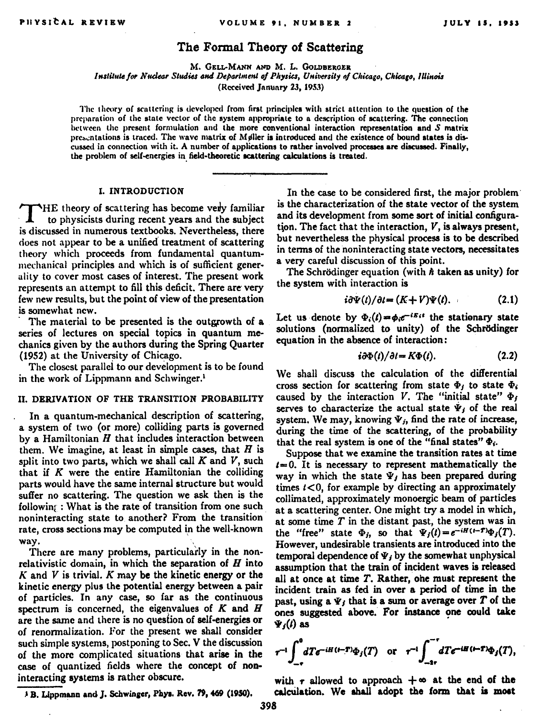## The Formal Theory of Scattering

M. GELL-MANN AND M. L. GOLDBERGER Institute for Nuclear Studies and Department of Physics, University of Chicago, Chicago, Illinois (Received January 23, 1953)

The theory of scattering is developed from first principles with strict attention to the question of the preparation of the state vector of the system appropriate to a description of scattering. The connection between the present formulation and the more conventional interaction representation and  $S$  matrix presentations is traced. The wave matrix of Maller is introduced and the existence of bound states is discussed in connection with it. A number of applications to rather involved processes are discussed. Finally, the problem of self-energies in field-theoretic scattering calculations is treated.

### I. INTRODUCTION

THE theory of scattering has become very familiar to physicists during recent years and the subject is discussed in numerous textbooks. Nevertheless, there does not appear to be a unified treatment of scattering theory which proceeds from fundamental quantummechanical principles and which is of sufficient generality to cover most cases of interest. The present work represents an attempt to fill this deficit. There are very few new results, but the point of view of the presentation is somewhat new

The material to be presented is the outgrowth of a series of lectures on special topics in quantum mechanics given by the authors during the Spring Quarter (1952) at the University of Chicago.

The closest parallel to our development is to be found in the work of Lippmann and Schwinger.<sup>1</sup>

## II. DERIVATION OF THE TRANSITION PROBABILITY

In a quantum-mechanical description of scattering, a system of two (or more) colliding parts is governed  $h$  a Hamiltonian  $H$  that includes interaction between them. We imagine, at least in simple cases, that  $H$  is split into two parts, which we shall call  $K$  and  $V$ , such that if  $K$  were the entire Hamiltonian the colliding parts would have the same internal structure but would suffer no scattering. The question we ask then is the followin: : What is the rate of transition from one such noninteracting state to another? From the transition rate, cross sections may be computed in the well-known way.

There are many problems, particularly in the nonrelativistic domain, in which the separation of  $H$  into  $K$  and  $V$  is trivial.  $K$  may be the kinetic energy or the kinetic energy plus the potential energy between a pair of particles. In any case, so far as the continuous spectrum is concerned, the eigenvalues of  $K$  and  $H$ are the same and there is no question of self-energies or of renormalization. For the present we shall consider such simple systems, postponing to Sec. V the discussion of the more complicated situations that arise in the case of quantized fields where the concept of noninteracting systems is rather obscure.

<sup>3</sup> B. Lippmann and J. Schwinger, Phys. Rev. 79, 469 (1950).

In the case to be considered first, the major problem is the characterization of the state vector of the system and its development from some sort of initial configuration. The fact that the interaction. V. is always present. but nevertheless the physical process is to be described in terms of the noninteracting state vectors, necessitates a very careful discussion of this point.

The Schrödinger equation (with  $\hbar$  taken as unity) for the system with interaction is

$$
i\partial\Psi(t)/\partial t = (K+V)\Psi(t). \tag{2.1}
$$

Let us denote by  $\Phi_i(t) = \phi_i e^{-iE_i t}$  the stationary state solutions (normalized to unity) of the Schrödinger equation in the absence of interaction:

$$
i\partial\Phi(t)/\partial t = K\Phi(t).
$$
 (2.2)

We shall discuss the calculation of the differential cross section for scattering from state  $\Phi_i$  to state  $\Phi_i$ caused by the interaction V. The "initial state"  $\Phi_f$ serves to characterize the actual state  $\Psi_i$  of the real system. We may, knowing  $\Psi_i$ , find the rate of increase. during the time of the scattering, of the probability that the real system is one of the "final states"  $\Phi_i$ .

Suppose that we examine the transition rates at time  $t = 0$ . It is necessary to represent mathematically the way in which the state  $\Psi_j$  has been prepared during times  $t < 0$ , for example by directing an approximately collimated, approximately monoergic beam of particles at a scattering center. One might try a model in which, at some time  $T$  in the distant past, the system was in the "free" state  $\Phi_j$ , so that  $\Psi_j(t) = e^{-iH(t-T)}\Phi_j(T)$ . However, undesirable transients are introduced into the temporal dependence of  $\Psi_i$  by the somewhat unphysical assumption that the train of incident waves is released all at once at time T. Rather, one must represent the incident train as fed in over a period of time in the past, using a  $\Psi_j$  that is a sum or average over  $T$  of the ones suggested above. For instance one could take  $\Psi_i(t)$  as

$$
r^{-1}\int_{-r}^{0} dT e^{-iH\left(t-T\right)}\Phi_j(T) \quad \text{or} \quad r^{-1}\int_{-2r}^{-r} dT e^{-iH\left(t-T\right)}\Phi_j(T),
$$

with r allowed to approach  $+\infty$  at the end of the calculation. We shall adopt the form that is most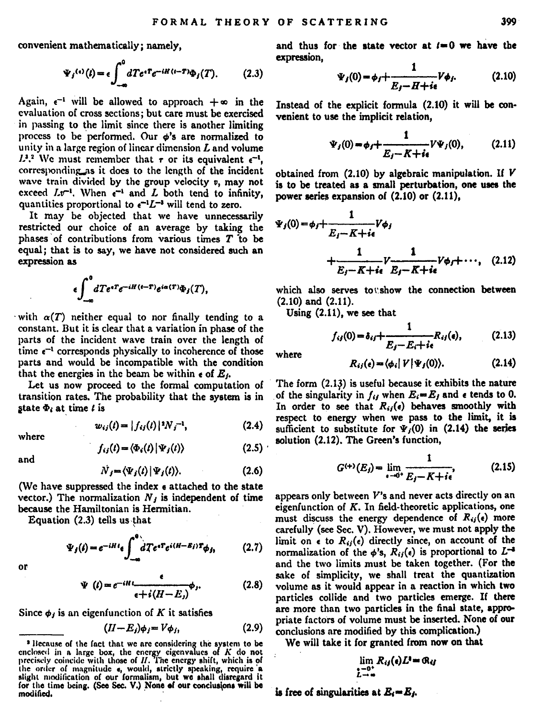convenient mathematically: namely.

$$
\Psi_j^{(i)}(t) = \epsilon \int_{-\infty}^0 dTe^{iT} e^{-iH(t-T)} \Phi_j(T). \tag{2.3}
$$

Again,  $e^{-1}$  will be allowed to approach  $+\infty$  in the evaluation of cross sections: but care must be exercised in passing to the limit since there is another limiting process to be performed. Our  $\phi$ 's are normalized to unity in a large region of linear dimension  $L$  and volume  $L^{1,2}$  We must remember that  $\tau$  or its equivalent  $\epsilon^{-1}$ . corresponding as it does to the length of the incident wave train divided by the group velocity v, may not exceed  $Lv^{-1}$ . When  $e^{-1}$  and L both tend to infinity. quantities proportional to  $e^{-t}L^{-t}$  will tend to zero.

It may be objected that we have unnecessarily restricted our choice of an average by taking the phases of contributions from various times  $T$  to be equal: that is to say, we have not considered such an expression as

$$
\int_{-\infty}^{0} dTe^{*T}e^{-iH(t-T)}e^{ia(T)}\Phi_j(T),
$$

with  $\alpha(T)$  neither equal to nor finally tending to a constant. But it is clear that a variation in phase of the parts of the incident wave train over the length of time  $e^{-1}$  corresponds physically to incoherence of those parts and would be incompatible with the condition that the energies in the beam be within  $\epsilon$  of  $E_t$ .

Let us now proceed to the formal computation of transition rates. The probability that the system is in state  $\Phi_i$  at time  $i$  is

...<br>hain

$$
w_{ij}(t) = |f_{ij}(t)|^2 N_j^{-1}, \qquad (2.4)
$$

$$
w_{ij}(l) = |f_{ij}(l)|^2 N_j^{-1}, \qquad (2.4)
$$

$$
f_{ij}(t) = \langle \Phi_i(t) | \Psi_j(t) \rangle \tag{2.5}
$$

$$
\dot{N}_i = \langle \Psi_i(t) | \Psi_i(t) \rangle. \tag{2.6}
$$

(We have suppressed the index e attached to the state vector.) The normalization  $N_i$  is independent of time because the Hamiltonian is Hermitian.

Equation (2.3) tells us that

$$
\Psi_j(t) = e^{-iHt} \epsilon \int_{-\infty}^0 dTe^{sT} e^{i(H-E_j)T} \phi_{j_1}
$$
 (2.7)

o۳

$$
\Psi(t) = e^{-iHt} \frac{\epsilon}{\epsilon + i(H - E_i)} \phi_i.
$$
 (2.8)

Since  $\phi_i$  is an eigenfunction of K it satisfies

$$
(II - E_j)\phi_j = V\phi_j,\tag{2.9}
$$

<sup>3</sup> Because of the fact that we are considering the system to be enclosed in a large box, the energy eigenvalues of  $K$  do not precisely coincide with those of  $H$ . The energy shift, which is of the order of magnitude e, would, strictly speaking, require a sight modification of our formalism, but we shall disregard it for the time being. (See Sec. V.) None of our conclusions will be modified.

and thus for the state vector at  $t=0$  we have the expression.

$$
\Psi_j(0) = \phi_f + \frac{1}{E_f - H + i\epsilon} V \phi_f.
$$
 (2.10)

Instead of the explicit formula (2.10) it will be convenient to use the implicit relation.

$$
\Psi_j(0) = \phi_j + \frac{1}{E_j - K + i\epsilon} V \Psi_j(0), \qquad (2.11)
$$

obtained from  $(2.10)$  by algebraic manipulation. If  $V$ is to be treated as a small perturbation, one uses the power series expansion of (2.10) or (2.11).

$$
V_{j}(0) = \phi_{j} + \frac{1}{E_{j} - K + i\epsilon} V \phi_{j}
$$
  
+ 
$$
\frac{1}{E_{j} - K + i\epsilon} \frac{1}{E_{j} - K + i\epsilon} V \phi_{j} + \cdots, (2.12)
$$

which also serves to show the connection between  $(2.10)$  and  $(2.11)$ .

Using (2.11), we see that

$$
f_{ij}(0) = \delta_{ij} + \frac{1}{E_j - E_i + i\epsilon} R_{ij}(e),
$$
 (2.13)

where

$$
R_{ij}(\epsilon) = \langle \phi_i | V | \Psi_j(0) \rangle. \tag{2.14}
$$

The form (2.13) is useful because it exhibits the nature of the singularity in  $f_{ij}$  when  $E_i = E_j$  and  $\epsilon$  tends to 0. In order to see that  $R_{ij}(\epsilon)$  behaves smoothly with respect to energy when we pass to the limit, it is sufficient to substitute for  $\Psi(0)$  in (2.14) the series solution (2.12). The Green's function,

$$
G^{(+)}(E_j) = \lim_{\epsilon \to 0^+} \frac{1}{E_j - K + i\epsilon},
$$
 (2.15)

appears only between V's and never acts directly on an eigenfunction of K. In field-theoretic applications, one must discuss the energy dependence of  $R_{ii}(e)$  more carefully (see Sec. V). However, we must not apply the limit on  $\epsilon$  to  $R_{ij}(\epsilon)$  directly since, on account of the normalization of the  $\phi$ 's.  $R_{ij}(\epsilon)$  is proportional to  $L^{-4}$ and the two limits must be taken together. (For the sake of simplicity, we shall treat the quantization volume as it would appear in a reaction in which two particles collide and two particles emerge. If there are more than two particles in the final state, appropriate factors of volume must be inserted. None of our conclusions are modified by this complication.)

We will take it for granted from now on that

$$
\lim_{\substack{i=0\\L\to\infty}}R_{ij}(e)L^i=\mathfrak{R}_{ij}
$$

is free of singularities at  $E = E_L$ .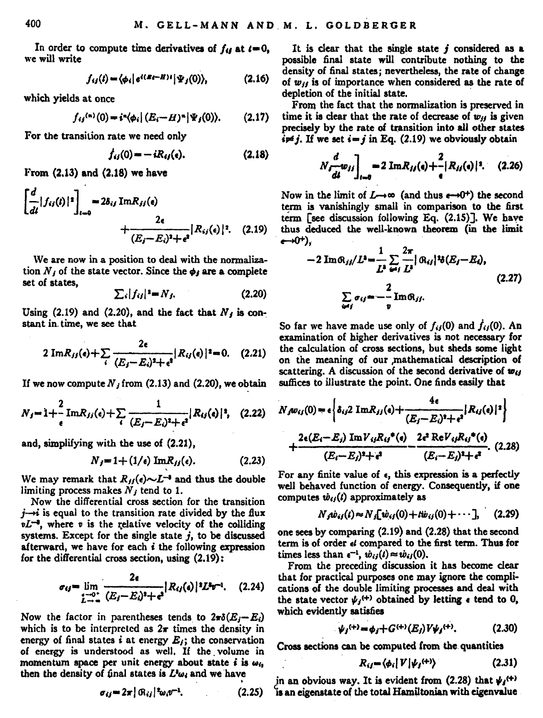In order to compute time derivatives of  $f_{ij}$  at  $i = 0$ , we will write

$$
f_{ij}(t) = \langle \phi_i | e^{i(E_i - H)t} | \Psi_j(0) \rangle, \qquad (2.16)
$$

which yields at once

$$
f_{ij}^{(n)}(0) = i^{n} \langle \phi_i | (E_i - H)^n | \Psi_j(0) \rangle. \qquad (2.17)
$$

For the transition rate we need only

$$
f_{ij}(0) = -iR_{ij}(e). \t(2.18)
$$

From  $(2.13)$  and  $(2.18)$  we have

$$
\begin{aligned} \left[\frac{d}{dt}|f_{ij}(t)|^2\right]_{t=0} &= 2\delta_{ij} \operatorname{Im} R_{jj}(q) \\ &+ \frac{2\epsilon}{(E_j - E_j)^2 + \epsilon^2} |R_{ij}(q)|^2. \end{aligned} \tag{2.19}
$$

We are now in a position to deal with the normalization  $N_i$  of the state vector. Since the  $\phi_i$  are a complete set of states,

$$
\sum_{i} |f_{ij}|^2 = N_f. \tag{2.20}
$$

Using  $(2.19)$  and  $(2.20)$ , and the fact that  $N_i$  is constant in time, we see that

$$
2 Im R_{jj}(e) + \sum_{i} \frac{2e}{(E_i - E_i)^2 + e^2} |R_{ij}(e)|^2 = 0. \quad (2.21)
$$

If we now compute  $N$ , from (2.13) and (2.20), we obtain

$$
N_{j}=1+\frac{2}{\epsilon}\operatorname{Im}R_{jj}(e)+\sum_{i}\frac{1}{(E_{j}-E_{i})^{2}+\epsilon^{2}}|R_{ij}(e)|^{2}, \quad (2.22)
$$

and, simplifying with the use of (2.21),

$$
N_j = 1 + (1/\epsilon) \text{ Im} R_{jj}(\epsilon). \tag{2.23}
$$

We may remark that  $R_H(e) \sim L^{-4}$  and thus the double limiting process makes  $N<sub>j</sub>$  tend to 1.

Now the differential cross section for the transition *j-+i* is equal to the transition rate divided by the flux  $\nu L^{-3}$ , where v is the relative velocity of the colliding systems. Except for the single state  $i$ , to be discussed afterward, we have for each i the following expression for the differential cross section, using (2.19):

$$
\sigma_{ij} = \lim_{\substack{z \to 0^+ \\ L \to \infty}} \frac{2\epsilon}{(E_j - E_i)^2 + \epsilon^2} |R_{ij}(s)|^2 L^2 v^{-1}.
$$
 (2.24)

Now the factor in parentheses tends to  $2\pi\delta(E,-E_i)$ which is to be interpreted as  $2\pi$  times the density in energy of final states *i* at energy  $E_i$ ; the conservation energy of final states  $i$  at energy  $E_j$ ; the conservation<br>of energy is understood as well. If the volume in momentum space per unit energy about state *i* is  $\omega_{i_1}$  then the density of final states is  $L^1 \omega_i$  and we have

It is clear that the single state *j* considered as a possible final state will contribute nothing to the density of final states; nevertheless, the rate of change of *WJI* is of importance when considered as the rate of depletion of the initial state.

From the fact that the normalization is preserved in time it is clear that the rate of decrease of  $w_H$  is given precisely by the rate of transition into all other states  $i \neq j$ . If we set  $i = j$  in Eq. (2.19) we obviously obtain

$$
N_f \frac{d}{dt} w_{jj} \bigg]_{t=0} = 2 \operatorname{Im} R_{jj}(s) + \frac{2}{s} |R_{jj}(s)|^2. \quad (2.26)
$$

Now in the limit of  $L \rightarrow \infty$  (and thus  $e \rightarrow 0^+$ ) the second term is vanishingly small in comparison to the first term [see discussion following Eq. (2.15)]. We have thus deduced the well-known theorem (in the limit  $e \rightarrow 0^+$ ).

$$
(-40^+),
$$
  
-2 Im $\theta_{ij}/L^3 = \frac{1}{L^2} \sum_{i=1}^{2\pi} \beta_{ij}/\theta_{ij}/\theta_{i}E_{j}-E_{i}),$   

$$
\sum_{i=1}^{2\pi} \sigma_{ij} = -\frac{2}{v} \text{Im}\theta_{ij}.
$$
 (2.27)

So far we have made use only of  $f_{ij}(0)$  and  $f_{ij}(0)$ . An examination of higher derivatives is not necessary for the calculation of cross sections, but sheds some light on the meaning of our mathematical description of scattering. A discussion of the second derivative of  $w_{ij}$ suffices to illustrate the point. One finds easily that

$$
N_f \omega_{ij}(0) = \epsilon \left\{ \delta_{ij} 2 \operatorname{Im} R_{jj}(t) + \frac{4\epsilon}{(E_f - E_i)^3 + \epsilon^3} |R_{ij}(t)|^2 \right\}
$$
  
+ 
$$
\frac{2\epsilon (E_i - E_j) \operatorname{Im} V_{ijk} V_i^*(s)}{(E_f - E_j)^3 + \epsilon^3} - \frac{2\epsilon^3 \operatorname{Re} V_{ijk} V_i^*(s)}{(E_i - E_j)^3 + \epsilon^3}.
$$
 (2.28)

For any finite value of  $\epsilon$ , this expression is a perfectly well behaved function of energy. Consequently, if one computes  $\dot{w}_{ij}(t)$  approximately as

$$
N_f \dot{w}_{ij}(t) \approx N_j [\dot{w}_{ij}(0) + t \dot{w}_{ij}(0) + \cdots], \quad (2.29)
$$

one sees by comparing (2.19) and (2.28) that the second term is of order  $d$  compared to the first term. Thus for times less than  $e^{-t}$ ,  $\dot{w}_{ii}(t) \approx \dot{w}_{ii}(0)$ .

From the preceding discussion it has become clear that for practical purposes one may ignore the compli- cations of the double limiting processes and deal with the state vector  $\psi_j$ <sup>(+)</sup> obtained by letting  $\epsilon$  tend to 0, which evidently satisfies

$$
\psi_j^{(+)} = \phi_j + G^{(+)}(E_j) V \psi_j^{(+)}.
$$
 (2.30)

$$
R_{ij} = \langle \phi_i | V | \psi_j^{(+)} \rangle \tag{2.31}
$$

in an obvious way. It is evident from (2.28) that  $\psi_I^{(+)}$  $\sigma_i = 2\pi |\mathcal{R}_{ii}|^2 \omega_i \sigma^{-1}$ . (2.25) is an eigenstate of the total Hamiltonian with eigenvalue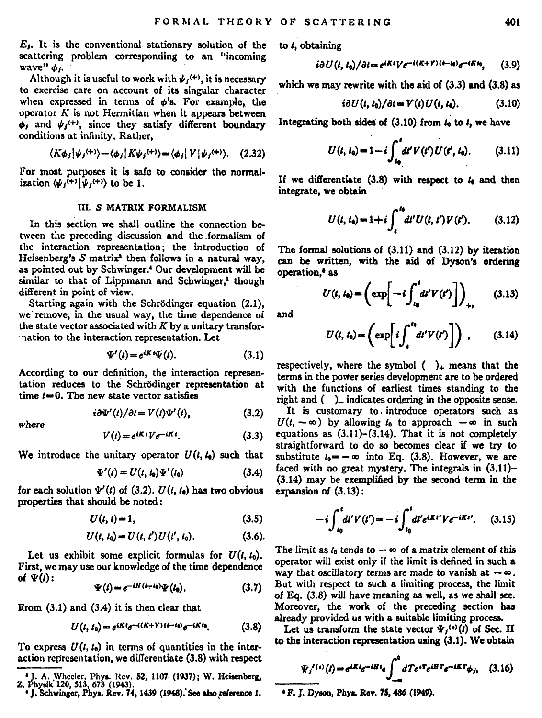E. It is the conventional stationary solution of the scattering problem corresponding to an "incoming wave"  $\phi$ ".

Although it is useful to work with  $\psi_i$ <sup>(+)</sup>, it is necessary to exercise care on account of its singular character when expressed in terms of  $\phi$ 's. For example, the operator  $K$  is not Hermitian when it appears between  $\phi_i$  and  $\psi_i$ <sup>(+)</sup>, since they satisfy different boundary conditions at infinity. Rather.

$$
\langle K\phi_j|\psi_j^{(+)}\rangle - \langle \phi_j|K\psi_j^{(+)}\rangle = \langle \phi_j|V|\psi_j^{(+)}\rangle. \quad (2.32)
$$

For most purposes it is safe to consider the normalization  $\langle \psi_i^{(+)} | \psi_i^{(+)} \rangle$  to be 1.

## **III. S MATRIX FORMALISM**

In this section we shall outline the connection between the preceding discussion and the formalism of the interaction representation: the introduction of Heisenberg's  $S$  matrix<sup>3</sup> then follows in a natural way. as pointed out by Schwinger.<sup>4</sup> Our development will be similar to that of Lippmann and Schwinger.<sup>1</sup> though different in point of view.

Starting again with the Schrödinger equation (2.1), we remove, in the usual way, the time dependence of the state vector associated with  $K$  by a unitary transfornation to the interaction representation. Let

$$
\Psi'(t) = e^{iKt}\Psi(t).
$$
 (3.1)

According to our definition, the interaction representation reduces to the Schrödinger representation at time  $t = 0$ . The new state vector satisfies

$$
i\partial\Psi'(t)/\partial t = V(t)\Psi'(t),\qquad(3.2)
$$

$$
where
$$

$$
\mathbf{r} \cdot \mathbf{r} \cdot \mathbf{r} \cdot \mathbf{r} \cdot \mathbf{r} \cdot \mathbf{r} \cdot \mathbf{r} \cdot \mathbf{r} \cdot \mathbf{r} \cdot \mathbf{r} \cdot \mathbf{r} \cdot \mathbf{r} \cdot \mathbf{r} \cdot \mathbf{r} \cdot \mathbf{r} \cdot \mathbf{r} \cdot \mathbf{r} \cdot \mathbf{r} \cdot \mathbf{r} \cdot \mathbf{r} \cdot \mathbf{r} \cdot \mathbf{r} \cdot \mathbf{r} \cdot \mathbf{r} \cdot \mathbf{r} \cdot \mathbf{r} \cdot \mathbf{r} \cdot \mathbf{r} \cdot \mathbf{r} \cdot \mathbf{r} \cdot \mathbf{r} \cdot \mathbf{r} \cdot \mathbf{r} \cdot \mathbf{r} \cdot \mathbf{r} \cdot \mathbf{r} \cdot \mathbf{r} \cdot \mathbf{r} \cdot \mathbf{r} \cdot \mathbf{r} \cdot \mathbf{r} \cdot \mathbf{r} \cdot \mathbf{r} \cdot \mathbf{r} \cdot \mathbf{r} \cdot \mathbf{r} \cdot \mathbf{r} \cdot \mathbf{r} \cdot \mathbf{r} \cdot \mathbf{r} \cdot \mathbf{r} \cdot \mathbf{r} \cdot \mathbf{r} \cdot \mathbf{r} \cdot \mathbf{r} \cdot \mathbf{r} \cdot \mathbf{r} \cdot \mathbf{r} \cdot \mathbf{r} \cdot \mathbf{r} \cdot \mathbf{r} \cdot \mathbf{r} \cdot \mathbf{r} \cdot \mathbf{r} \cdot \mathbf{r} \cdot \mathbf{r} \cdot \mathbf{r} \cdot \mathbf{r} \cdot \mathbf{r} \cdot \mathbf{r} \cdot \mathbf{r} \cdot \mathbf{r} \cdot \mathbf{r} \cdot \mathbf{r} \cdot \mathbf{r} \cdot \mathbf{r} \cdot \mathbf{r} \cdot \mathbf{r} \cdot \mathbf{r} \cdot \mathbf{r} \cdot \mathbf{r} \cdot \mathbf{r} \cdot \mathbf{r} \cdot \mathbf{r} \cdot \mathbf{r} \cdot \mathbf{r} \cdot \mathbf{r} \cdot \mathbf{r} \cdot \mathbf{r} \cdot \mathbf{r} \cdot \mathbf{r} \cdot \mathbf{r} \cdot \mathbf{r} \cdot \mathbf{r} \cdot \mathbf{r} \cdot
$$

$$
V(t) = e^{iKt} V e^{-iKt}.
$$
 (3.3)

We introduce the unitary operator  $U(t, t_0)$  such that

$$
\Psi'(t) = U(t, t_0)\Psi'(t_0) \tag{3.4}
$$

for each solution  $\Psi'(t)$  of (3.2).  $U(t, t_0)$  has two obvious properties that should be noted:

$$
U(t, t) = 1,\tag{3.5}
$$

$$
U(t, t_0) = U(t, t') U(t', t_0). \tag{3.6}
$$

Let us exhibit some explicit formulas for  $U(t, t_0)$ . First, we may use our knowledge of the time dependence of  $\Psi(t)$ :

$$
\Psi(t) = e^{-iH(t-t_0)}\Psi(t_0). \tag{3.7}
$$

 $From (3.1) and (3.4) it is then clear that$ 

$$
U(t, t_0) = e^{iKt}e^{-i(K+Y)(t-t_0)}e^{-iKt_0}.\tag{3.8}
$$

To express  $U(t, t_0)$  in terms of quantities in the interaction representation, we differentiate (3.8) with respect to *i*, obtaining

$$
i\partial U(t,t_0)/\partial t = e^{iKt}V e^{-i(K+V)(t-t_0)}e^{-iKt_0}, \qquad (3.9)
$$

which we may rewrite with the aid of  $(3.3)$  and  $(3.8)$  as

$$
i\partial U(t, t_0)/\partial t = V(t)U(t, t_0). \qquad (3.10)
$$

Integrating both sides of  $(3.10)$  from  $L$  to  $L$  we have

$$
U(t, t_0) = 1 - i \int_{t_0}^t dt' V(t') U(t', t_0). \qquad (3.11)
$$

If we differentiate (3.8) with respect to  $L$  and then integrate, we obtain

$$
U(t, t_0) = 1 + i \int_{t}^{t_0} dt' U(t, t') V(t'). \qquad (3.12)
$$

The formal solutions of  $(3.11)$  and  $(3.12)$  by iteration can be written, with the aid of Dyson's ordering operation.<sup>\*</sup> as

$$
U(t, t_0) = \left(\exp\left[-i\int_{t_0}^t dt' V(t')\right]\right)_{+}, \qquad (3.13)
$$

and

$$
U(t, t_0) = \left(\exp\left[i\int_t^{t_0} dt' V(t')\right]\right), \qquad (3.14)
$$

respectively, where the symbol  $( )$ <sub>+</sub> means that the terms in the power series development are to be ordered with the functions of earliest times standing to the  $right$  and  $($ ) indicates ordering in the opposite sense.

It is customary to introduce operators such as  $U(t, -\infty)$  by allowing  $t_0$  to approach  $-\infty$  in such equations as  $(3.11)$ - $(3.14)$ . That it is not completely straightforward to do so becomes clear if we try to substitute  $t_0 = -\infty$  into Eq. (3.8). However, we are faced with no great mystery. The integrals in (3.11)-(3.14) may be exemplified by the second term in the  $\overline{\text{expansion}}$  of  $(3.13)$ :

$$
-i\int_{t_0}^t dt' V(t') = -i\int_{t_0}^t dt' e^{iKt'} V e^{-iKt'}.
$$
 (3.15)

The limit as  $t_0$  tends to  $-\infty$  of a matrix element of this operator will exist only if the limit is defined in such a way that oscillatory terms are made to vanish at  $-\infty$ . But with respect to such a limiting process, the limit of Eq. (3.8) will have meaning as well, as we shall see. Moreover, the work of the preceding section has already provided us with a suitable limiting process.

Let us transform the state vector  $\Psi_i^{(n)}(i)$  of Sec. II to the interaction representation using (3.1). We obtain

$$
\Psi_j^{(t)}(t) = e^{iKt}e^{-iHt}e\int_{-\infty}^0 dTe^{i\mathbf{T}}e^{-i\mathbf{E}\mathbf{T}}e^{-i\mathbf{K}\mathbf{T}}\phi_{j}, \quad (3.16)
$$

<sup>&</sup>lt;sup>4</sup> J. A. Wheeler, Phys. Rev. 52, 1107 (1937); W. Heisenberg, Z. Physik 120, 513, 673 (1943).<br>
<sup>4</sup> J. Schwinger, Phys. Rev. 74, 1439 (1948). See also reference 1.

<sup>\*</sup> F. J. Dyson, Phys. Rev. 75, 486 (1949).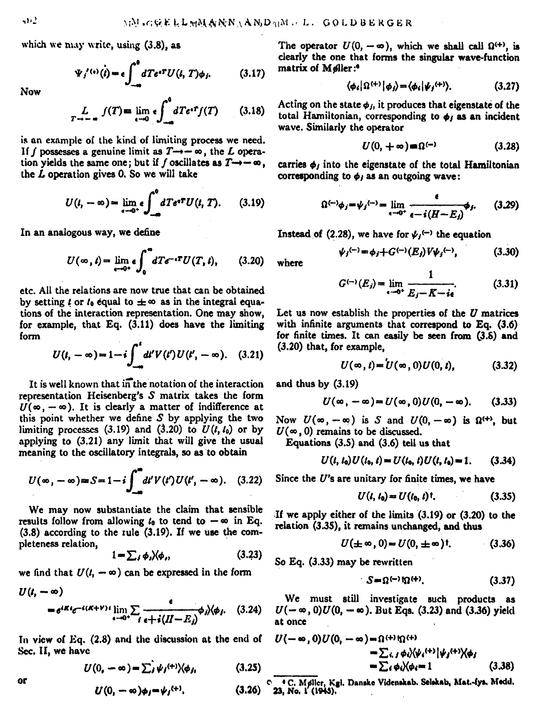which we may write, using  $(3.8)$ , as

$$
\Psi_i^{\prime(\alpha)}(t) = \epsilon \int_{-\infty}^0 dTe^{iT} U(t, T)\phi_i. \tag{3.17}
$$

Now

$$
L_{T \to -\infty} f(T) = \lim_{\epsilon \to 0} \epsilon \int_{-\infty}^{0} dT e^{t} f(T) \qquad (3.18)
$$

is an example of the kind of limiting process we need. If  $f$  possesses a genuine limit as  $T \rightarrow -\infty$ , the  $L$  operation yields the same one; but if  $f$  oscillates as  $T \rightarrow -\infty$ , the L operation gives 0. So we will take

$$
U(t, -\infty) = \lim_{\epsilon \to 0^+} \epsilon \int_{-\infty}^0 dT e^{i\mathbf{T}} U(t, T). \qquad (3.19)
$$

In an analogous way, we define

$$
U(\infty, t) = \lim_{\epsilon \to 0^+} \epsilon \int_0^{\infty} dT e^{-\epsilon T} U(T, t), \qquad (3.20)
$$

etc. All the relations are now true that can be obtained by setting  $l$  or  $l_0$  equal to  $\pm \infty$  as in the integral equations of the interaction representation. One may show, for example, that Eq. (3.11) does have the limiting fonn

$$
U(t, -\infty) = 1 - i \int_{-\infty}^{t} dt' V(t') U(t', -\infty). \quad (3.21)
$$

It is well known that in the notation of the interaction representation Heisenberg's *S* matrix takes the form  $U(\infty, -\infty)$ . It is clearly a matter of indifference at this point whether we define *S* by applying the two limiting processes  $(3.19)$  and  $(3.20)$  to  $U(1, t_0)$  or by applying to (3.21) any limit that will give the usual meaning to the oscillatory integrals, so as to obtain

$$
U(\infty, -\infty) \approx S = 1 - i \int_{-\infty}^{\infty} dt' V(t') U(t', -\infty). \quad (3.22)
$$

We may now substantiate the claim that sensible results follow from allowing  $t_0$  to tend to  $-\infty$  in Eq.  $(3.8)$  according to the rule  $(3.19)$ . If we use the completeness relation,

$$
1 - \sum_{j} \phi_{j} \lambda \phi_{j}, \qquad (3.23)
$$

we find that 
$$
U(t, -\infty)
$$
 can be expressed in the form  
\n $U(t, -\infty)$   
\n $= e^{iKt}e^{-i(K+V)t}\lim_{t\to 0^+}\sum_{i=t+1}^{\infty}\frac{e^{-it}}{(I-E_i)^{\phi}}\sqrt{\phi_i}.$  (3.24)

In view of Eq.  $(2.8)$  and the discussion at the end of Sec. II, we have

$$
U(0, -\infty) = \sum_{i} \psi_i^{(+)} \langle \phi_i, \qquad (3.25)
$$

$$
U(0, -\infty)\phi_j = \psi_j^{(+)}.
$$
 (3.26)

The operator  $U(0, -\infty)$ , which we shall call  $\Omega^{(+)}$ , is clearly the one that forms the singular wave-function matrix of Møller:<sup>6</sup>

$$
\langle \phi_i | \Omega^{(+)} | \phi_j \rangle = \langle \phi_i | \psi_j^{(+)} \rangle. \tag{3.27}
$$

Acting on the state  $\phi_j$ , it produces that eigenstate of the total Hamiltonian, corresponding to  $\phi_i$  as an incident wave. Similarly the operator

$$
U(0, +\infty) = \Omega^{(-)} \tag{3.28}
$$

carries  $\phi_j$  into the eigenstate of the total Hamiltonian

carries 
$$
\phi_j
$$
 into the eigenstate of the total Hamiltonian  
corresponding to  $\phi_j$  as an outgoing wave:  

$$
\Omega^{(-)}\phi_j = \psi_j^{(-)} = \lim_{\epsilon \to 0^+} \frac{\epsilon}{\epsilon - i(H - E_j)} \phi_j. \qquad (3.29)
$$

Instead of (2.28), we have for  $\psi_j$ <sup>(-)</sup> the equation

$$
\psi_j^{(-)} = \phi_j + G^{(-)}(E_j) V \psi_j^{(-)}, \qquad (3.30)
$$

where

$$
G^{(-)}(E_j) = \lim_{\epsilon \to 0^+} \frac{1}{E_j - K - i\epsilon}.
$$
 (3.31)

Let us now establish the properties of the  $U$  matrices with infinite arguments that correspond to Eq. (3.6) for finite times. It can easily be seen from  $(3.6)$  and (3.20) that, for example,

$$
U(\infty, t) = U(\infty, 0)U(0, t), \qquad (3.32)
$$

and thus by (3.19)

$$
U(\infty,-\infty)=U(\infty,0)U(0,-\infty). \qquad (3.33)
$$

Now  $U(\infty, -\infty)$  is S and  $U(0, -\infty)$  is  $\Omega^{(+)}$ , but  $U(\infty, 0)$  remains to be discussed.

Equations (3.5) and (3.6) tell us that

$$
U(t, t_0)U(t_0, t) = U(t_0, t)U(t, t_0) = 1. \qquad (3.34)
$$

Since the U's are unitary for finite times, we have

$$
U(t, t_0) = U(t_0, t)^\dagger. \tag{3.35}
$$

If we apply either of the limits (3.19} or (3,20} to the relation (3.35), it remains unchanged, and thus

$$
U(\pm \infty, 0) = U(0, \pm \infty)!
$$
 (3.36)

So Eq. (3.33) may be rewritten

$$
S = \Omega^{(-)} \Omega^{(+)}.
$$
 (3.37)

We must still investigate such products as  $U(-\infty, 0)U(0, -\infty)$ . But Eqs. (3.23) and (3.36) yield at once

$$
U(-\infty,0)U(0,-\infty)=\Omega^{(+)}\Omega^{(+)}\Omega^{(+)}| \psi_j^{(+)} \rangle \langle \phi_j
$$
  
=  $\sum_i \phi_i \rangle \langle \phi_i^{-1}| \psi_j^{(+)} \rangle \langle \phi_j$  (3.38)

or  $U(0, -\infty)\phi_i = \psi_i^{(+)}$ . (3.26) C. Møller, Kgl. Dansko Videnskab. Selskab, Mat.-lys. Medd.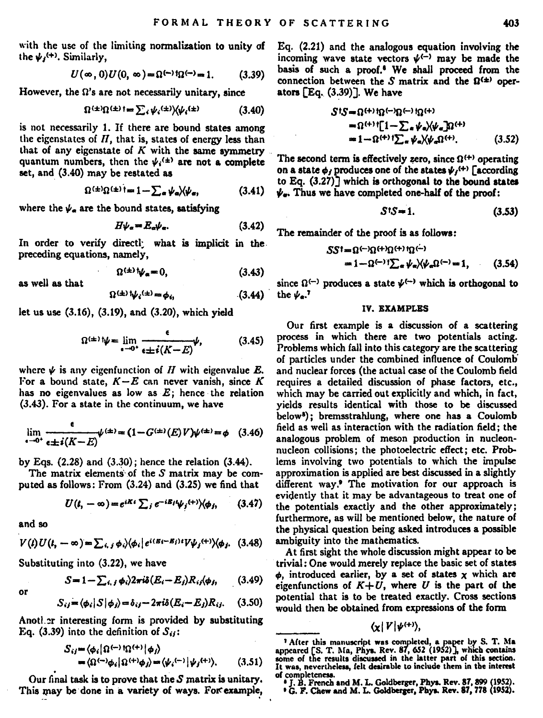with the use of the limiting normalization to unity of the  $\psi_i^{(+)}$ . Similarly.

$$
U(\infty,0)U(0,\infty)=\Omega^{(-)}\Omega^{(-)}=1. \qquad (3.39)
$$

However, the  $\Omega$ 's are not necessarily unitary, since

$$
\Omega^{(\pm)}\Omega^{(\pm)}\mathfrak{t} = \sum_{i} \psi_{i}^{(\pm)}\rangle\langle\psi_{i}^{(\pm)}\rangle\tag{3.40}
$$

is not necessarily 1. If there are bound states among the eigenstates of  $H$ , that is, states of energy less than that of any eigenstate of  $K$  with the same symmetry quantum numbers, then the  $\psi_i^{(\pm)}$  are not a complete set, and (3.40) may be restated as

$$
\Omega^{(\pm)}\Omega^{(\pm)}\mathfrak{f} = 1 - \sum_{\alpha} \psi_{\alpha} \rangle \langle \psi_{\alpha}, \qquad (3.41)
$$

where the  $\psi$ , are the bound states, satisfying

$$
H\psi_{\alpha} = E_{\alpha}\psi_{\alpha}.\tag{3.42}
$$

In order to verify directly what is implicit in the preceding equations, namely,

$$
\Omega^{(\pm)}\psi_{\alpha}=0,\qquad\qquad(3.43)
$$

as well as that

$$
\Omega^{(\pm)} \psi_i^{(\pm)} = \phi_i, \tag{3.44}
$$

let us use (3.16), (3.19), and (3.20), which yield

$$
\Omega^{(\pm)}\psi = \lim_{\epsilon \to 0^+} \frac{\epsilon}{\epsilon \pm i(K - E)} \psi,\tag{3.45}
$$

where  $\psi$  is any eigenfunction of H with eigenvalue E. For a bound state,  $K - E$  can never vanish, since K has no eigenvalues as low as  $E$ ; hence the relation (3.43). For a state in the continuum, we have

$$
\lim_{\epsilon \to 0^+} \frac{\epsilon}{\epsilon \pm i(K - E)} \psi^{(\pm)} = (1 - G^{(\pm)}(E)V)\psi^{(\pm)} = \phi \quad (3.46)
$$

by Eqs.  $(2.28)$  and  $(3.30)$ ; hence the relation  $(3.44)$ .

The matrix elements of the S matrix may be computed as follows: From (3.24) and (3.25) we find that

$$
U(t, -\infty) = e^{iKt} \sum_j e^{-iE_j t} \psi_j^{(+)} \rangle \langle \phi_j, \qquad (3.47)
$$

and so

or

$$
V(t)U(t, -\infty) = \sum_{i,j} \phi_i \rangle \langle \phi_i | e^{i(Et - E_j)t} V \psi_j^{(+)} \rangle \langle \phi_j, (3.48)
$$

Substituting into (3.22), we have

$$
S = 1 - \sum_{i,j} \phi_i \frac{\partial^2 \pi}{\partial E_i - E_j} R_{ij} \phi_j, \qquad (3.49)
$$

$$
S_{ij} = \langle \phi_i | S | \phi_j \rangle = \delta_{ij} - 2\pi i \delta(E_i - E_j) R_{ij}.
$$
 (3.50)

Another interesting form is provided by substituting Eq. (3.39) into the definition of  $S_{ij}$ :

$$
S_{ij} = \langle \phi_i | \Omega^{(-)} \Omega^{(+)} | \phi_j \rangle
$$
  
= 
$$
\langle \Omega^{(-)} \phi_i | \Omega^{(+)} \phi_j \rangle = \langle \psi_i^{(-)} | \psi_j^{(+)} \rangle. \tag{3.51}
$$

Our final task is to prove that the S matrix is unitary. This may be done in a variety of ways. For example, Eq. (2.21) and the analogous equation involving the incoming wave state vectors  $\psi^{(-)}$  may be made the basis of such a proof.<sup>6</sup> We shall proceed from the connection between the S matrix and the  $\Omega^{(\pm)}$  oper- $\frac{1}{2}$  ators  $\sqrt{2}$ .  $(3.39)$ . We have

$$
S^{\dagger}S = \Omega^{(+)}\Omega^{(-)}\Omega^{(-)}\Omega^{(+)}
$$
  
=  $\Omega^{(+)}\left[1-\sum_{\alpha}\psi_{\alpha}\right]/\psi_{\alpha}\Omega^{(+)}$   
=  $1-\Omega^{(+)}\left(\sum_{\alpha}\psi_{\alpha}\right)/\psi_{\alpha}\Omega^{(+)}$ . (3.52)

The second term is effectively zero, since  $\Omega^{(+)}$  operating on a state  $\phi_i$  produces one of the states  $\psi_i$ <sup>(+)</sup> [according to Eq. (3.27)] which is orthogonal to the bound states  $\psi_n$ . Thus we have completed one-half of the proof:

$$
S^{\dagger}S = 1. \tag{3.53}
$$

The remainder of the proof is as follows:

$$
SS^{\dagger} = \Omega^{(-)}\Omega^{(+)}\Omega^{(+)}\Omega^{(-)}
$$
  
=  $1 - \Omega^{(-)}\Gamma_{\rm ex} \psi_{\rm ex} \chi \psi_{\rm ex} \Omega^{(-)} = 1,$  (3.54)

since  $\Omega^{(-)}$  produces a state  $\psi^{(-)}$  which is orthogonal to the  $\psi$ .<sup>7</sup>

#### IV. EXAMPLES

Our first example is a discussion of a scattering process in which there are two potentials acting. Problems which fall into this category are the scattering of particles under the combined influence of Coulomb and nuclear forces (the actual case of the Coulomb field requires a detailed discussion of phase factors, etc., which may be carried out explicitly and which, in fact, vields results identical with those to be discussed below<sup>8</sup>); bremsstrahlung, where one has a Coulomb field as well as interaction with the radiation field: the analogous problem of meson production in nucleonnucleon collisions: the photoelectric effect; etc. Problems involving two potentials to which the impulse approximation is applied are best discussed in a slightly different way.<sup>9</sup> The motivation for our approach is evidently that it may be advantageous to treat one of the potentials exactly and the other approximately; furthermore, as will be mentioned below, the nature of the physical question being asked introduces a possible ambiguity into the mathematics.

At first sight the whole discussion might appear to be trivial: One would merely replace the basic set of states  $\phi$ , introduced earlier, by a set of states  $\chi$  which are eigenfunctions of  $K+U$ , where U is the part of the potential that is to be treated exactly. Cross sections would then be obtained from expressions of the form

 $(x|V|\psi^{(+)})$ 

<sup>&</sup>lt;sup>7</sup> After this manuscript was completed, a paper by S. T. Ma appeared [S. T. Ma, Phys. Rev. 87, 652 (1952)], which contains some of the results discussed in the latter part of this section. It was, nevertheless, felt desir of completenes

J. B. French and M. L. Goldberger, Phys. Rev. 87, 899 (1952)

<sup>&</sup>lt;sup>9</sup> G. F. Chew and M. L. Goldberger, Phys. Rev. 87, 778 (1952).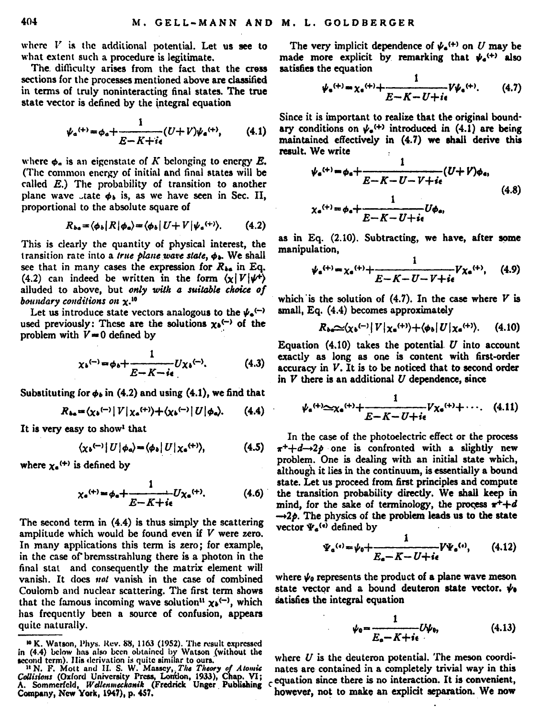where  $V$  is the additional notential. Let us see to what extent such a procedure is legitimate.

The difficulty arises from the fact that the cress sections for the processes mentioned above are classified in terms of truly noninteracting final states. The true state vector is defined by the integral equation

$$
\psi_a^{(+)} = \phi_a + \frac{1}{E - K + i\epsilon} (U + V)\psi_a^{(+)}, \qquad (4.1)
$$

where  $\phi$ , is an eigenstate of K belonging to energy  $E$ . (The common energy of initial and final states will be called  $E$ .) The probability of transition to another plane wave ...tate  $\phi_1$  is, as we have seen in Sec. II. proportional to the absolute square of

$$
R_{ba} = \langle \phi_b | R | \phi_a \rangle = \langle \phi_b | U + V | \psi_a^{(+)} \rangle. \tag{4.2}
$$

This is clearly the quantity of physical interest, the transition rate into a true plane wave state,  $\phi_{\mathbf{b}}$ . We shall see that in many cases the expression for  $R_{4a}$  in Eq. (4.2) can indeed be written in the form  $(y|V|\psi^+)$ alluded to above, but only with a suitable choice of boundary conditions on x.<sup>10</sup>

Let us introduce state vectors analogous to the  $\psi_n(\neg)$ used previously: These are the solutions  $x_0$ <sup>(-)</sup> of the problem with  $V = 0$  defined by

$$
\chi_b^{(-)} = \phi_b + \frac{1}{E - K - i\epsilon} U \chi_b^{(-)}.\tag{4.3}
$$

Substituting for  $\phi_b$  in (4.2) and using (4.1), we find that

$$
R_{ba} = \langle \chi_b^{(-)} | V | \chi_a^{(+)} \rangle + \langle \chi_b^{(-)} | U | \phi_a \rangle. \qquad (4.4)
$$

It is very easy to show' that

$$
\langle \chi_{b}^{(-)}|U|\phi_{a}\rangle = \langle \phi_{b}|U|\chi_{a}^{(+)}\rangle, \qquad (4.5)
$$

where  $x_2$ <sup>(+)</sup> is defined by

$$
\chi_{\mathbf{e}}^{(+)} = \phi_{\mathbf{e}} + \frac{1}{E - K + i\epsilon} U \chi_{\mathbf{e}}^{(+)}.\tag{4.6}
$$

The second term in (4.4) is thus simply the scattering amplitude which would be found even if  $V$  were zero. In many applications this term is zero: for example. in the case of bremsstrahlung there is a photon in the final stat and consequently the matrix element will vanish. It does not vanish in the case of combined Coulomb and nuclear scattering. The first term shows that the famous incoming wave solution<sup>11</sup>  $\chi_0$ <sup>(-)</sup>, which has frequently been a source of confusion, appears quite naturally.

The very implicit dependence of  $\psi_n^{(+)}$  on U may be made more explicit by remarking that  $\psi_4$ <sup>(+)</sup> also satisfies the equation

$$
\psi_{\bullet}^{(+)} = \chi_{\bullet}^{(+)} + \frac{1}{E - K - U + i\epsilon} V \psi_{\bullet}^{(+)}.
$$
 (4.7)

Since it is important to realize that the original boundary conditions on  $\psi_e$ <sup>(+)</sup> introduced in (4.1) are being maintained effectively in (4.7) we shall derive this result. We write

$$
\psi_{\mathbf{s}}^{(+)} = \phi_{\mathbf{s}} + \frac{1}{E - K - U - V + i\epsilon} (U + V)\phi_{\mathbf{s}},
$$
  

$$
\chi_{\mathbf{s}}^{(+)} = \phi_{\mathbf{s}} + \frac{1}{E - K - U + i\epsilon} U\phi_{\mathbf{s}},
$$
(4.8)

as in Eq. (2.10). Subtracting, we have, after some manipulation.

$$
\psi_{a}^{(+)} = \chi_{a}^{(+)} + \frac{1}{E - K - U - V + i\epsilon} V \chi_{a}^{(+)}, \quad (4.9)
$$

which is the solution of  $(4.7)$ . In the case where  $V$  is small. Eq. (4.4) becomes approximately

$$
R_{ba}\sim \langle \chi_b^{(-)}|V|\chi_a^{(+)}\rangle + \langle \phi_b|U|\chi_a^{(+)}\rangle. \tag{4.10}
$$

Equation  $(4.10)$  takes the potential  $U$  into account exactly as long as one is content with first-order  $accuracy$  in  $V$ . It is to be noticed that to second order in  $V$  there is an additional  $U$  dependence, since

$$
\psi_{\mathbf{e}}^{(+)} \simeq \chi_{\mathbf{e}}^{(+)} + \frac{1}{E - K - U + i\epsilon} V \chi_{\mathbf{e}}^{(+)} + \cdots. \quad (4.11)
$$

In the case of the photoelectric effect or the process  $x^+ + d \rightarrow 2p$  one is confronted with a slightly new problem. One is dealing with an initial state which, although it lies in the continuum, is essentially a bound state. Let us proceed from first principles and compute the transition probability directly. We shall keep in mind, for the sake of terminology, the process  $\pi^{+}+d$  $\rightarrow$  2p. The physics of the problem leads us to the state vector  $\Psi_a^{(n)}$  defined by

$$
\Psi_{\mathbf{e}}^{(\mathbf{e})} = \psi_0 + \frac{1}{E_{\mathbf{e}} - K - U + i\epsilon} V \Psi_{\mathbf{e}}^{(\mathbf{e})},\qquad(4.12)
$$

where  $\psi_0$  represents the product of a plane wave meson state vector and a bound deuteron state vector,  $\psi_a$ satisfies the integral equation

$$
\psi_0 = \frac{1}{E_a - K + i\epsilon} U \psi_0, \qquad (4.13)
$$

where  $U$  is the deuteron potential. The meson coordinates are contained in a completely trivial way in this equation since there is no interaction. It is convenient, however, not to make an explicit separation. We now

<sup>&</sup>lt;sup>10</sup> K. Watson, Phys. Rev. 88, 1163 (1952). The result expressed

FA. Watson, Friday, Stev. 69, 1100 (1992), 116 result expressed in the line of the line of the line of the line of the line of the control of the line of the control of the control of the control of the control. Collisions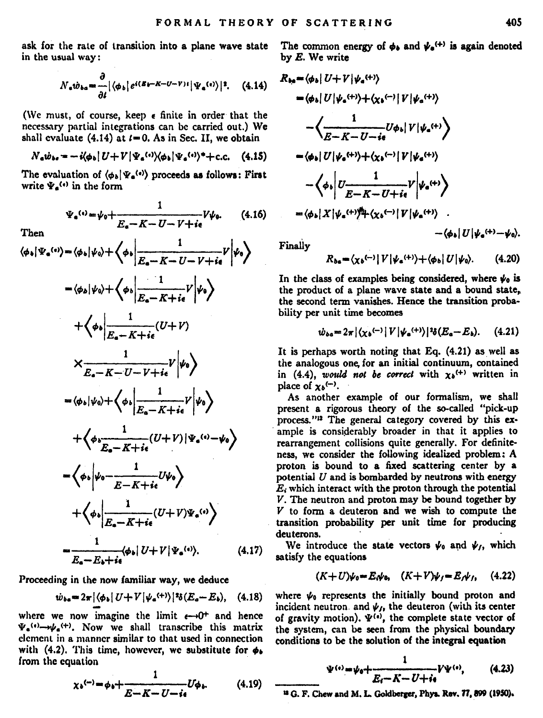ask for the rate of transition into a plane wave state The common energy of  $\phi_{\lambda}$  and  $\psi_{\alpha}^{(+)}$  is again denoted in the usual way:

$$
N_{\mathbf{e}}\dot{w}_{ba} = \frac{\partial}{\partial t} |\langle \phi_b | e^{i(\mathcal{B}y - K - U - V)t} | \Psi_a^{(\mathbf{e})} \rangle|^2. \quad (4.14)
$$

(We must, of course, keep e finite in order that the necessary partial integrations can be carried out.) We shall evaluate  $(4.14)$  at  $t = 0$ . As in Sec. II, we obtain

$$
N_a \dot{w}_{ba} = -i \langle \phi_b | U + V | \Psi_a^{(i)} \rangle \langle \phi_b | \Psi_a^{(i)} \rangle^* + c.c. \quad (4.15)
$$

The evaluation of  $(\phi_h | \Psi_a^{(*)})$  proceeds as follows: First write  $\Psi_n^{(n)}$  in the form

 $m_{\rm max}$ 

$$
\Psi_{a}^{(4)} = \psi_{0} + \frac{1}{E_{a} - K - U - V + i\epsilon} V \psi_{0}.
$$
 (4.16)

$$
\text{Lieu} \quad \text{Let } V \text{ is } \frac{1}{|E_{\alpha} - K - U - V + i\epsilon} V \Big| \psi_{\theta} \Big\rangle
$$
\n
$$
= \langle \phi_{\alpha} | \psi_{\theta} \rangle + \langle \phi_{\theta} | \frac{1}{|E_{\alpha} - K + i\epsilon} V | \psi_{\theta} \rangle
$$
\n
$$
+ \langle \phi_{\theta} | \frac{1}{|E_{\alpha} - K + i\epsilon} (U + V) \rangle
$$
\n
$$
\times \frac{1}{E_{\alpha} - K - U - V + i\epsilon} V \Big| \psi_{\theta} \Big\rangle
$$
\n
$$
= \langle \phi_{\theta} | \psi_{\theta} \rangle + \langle \phi_{\theta} | \frac{1}{|E_{\alpha} - K + i\epsilon} V | \psi_{\theta} \rangle
$$
\n
$$
+ \langle \phi_{\theta} | \frac{1}{E_{\alpha} - K + i\epsilon} (U + V) | \psi_{\alpha} \langle \phi_{\theta} \rangle
$$
\n
$$
- \langle \phi_{\theta} | \psi_{\theta} - \frac{1}{E - K + i\epsilon} (U + V) | \psi_{\alpha} \langle \phi \rangle \rangle
$$
\n
$$
+ \langle \phi_{\theta} | \frac{1}{E_{\alpha} - K + i\epsilon} (U + V) \psi_{\alpha} \langle \phi \rangle \rangle
$$
\n
$$
= \frac{1}{E_{\alpha} - E + i\epsilon} \langle \phi_{\theta} | U + V | \psi_{\alpha} \langle \phi \rangle. \tag{4.17}
$$

Proceeding in the now familiar way, we deduce

$$
\dot{w}_{bs} = 2\pi \left[ \left\langle \phi_b \right| U + V \left| \psi_a{}^{(+)} \right\rangle \right] \mathcal{V}_b(E_a - E_b), \quad (4.18)
$$

where we now imagine the limit  $\epsilon \rightarrow 0^+$  and hence  $\Psi_a^{(t)} \rightarrow \psi_a^{(+)}$ . Now we shall transcribe this matrix clement in a manner similar to that used in connection with (4.2). This time, however, we substitute for  $\phi$ . from the equation

$$
\chi_{b}^{(-)} = \phi_{b} + \frac{1}{E - K - U - i\epsilon} U \phi_{b}.
$$
 (4.19)

by E. We write

$$
\mathcal{R}_{2n} = \langle \phi_1 | U + V | \psi_a^{(4)} \rangle
$$
\n
$$
= \langle \phi_1 | U | \psi_a^{(4)} \rangle + \langle \chi_b^{(-)} | V | \psi_a^{(4)} \rangle
$$
\n
$$
- \left\langle \frac{1}{E - K - U - i\epsilon} \partial \phi_1 | V | \psi_a^{(4)} \rangle \right\rangle
$$
\n
$$
= \langle \phi_1 | U | \psi_a^{(4)} \rangle + \langle \chi_b^{(-)} | V | \psi_a^{(4)} \rangle
$$
\n
$$
- \left\langle \phi_1 \right| \frac{1}{E - K - U + i\epsilon} V | \psi_a^{(4)} \rangle
$$
\n
$$
= \langle \phi_1 | X | \psi_a^{(4)} \rangle + \langle \chi_b^{(-)} | V | \psi_a^{(4)} \rangle
$$
\n
$$
- \langle \phi_1 | X | \psi_a^{(4)} \rangle + \langle \chi_b^{(-)} | V | \psi_a^{(4)} \rangle
$$
\n
$$
- \langle \phi_1 | U | \psi_a^{(4)} \rangle + \langle \phi_1 | U | \psi_a^{(4)} \rangle - \langle \phi_1 | U | \psi_a^{(4)} \rangle - \langle \phi_1 | U | \psi_a^{(4)} \rangle - \langle \phi_1 | U | \psi_a^{(4)} \rangle - \langle \phi_1 | U | \psi_a^{(4)} \rangle - \langle \phi_1 | U | \psi_a^{(4)} \rangle - \langle \phi_1 | U | \psi_a^{(4)} \rangle - \langle \phi_1 | U | \psi_a^{(4)} \rangle - \langle \phi_1 | U | \psi_a^{(4)} \rangle - \langle \phi_1 | U | \psi_a^{(4)} \rangle - \langle \phi_1 | U | \psi_a^{(4)} \rangle - \langle \phi_1 | U | \psi_a^{(4)} \rangle - \langle \phi_1 | U | \psi_a^{(4)} \rangle - \langle \phi_1 | U | \psi_a^{(4)} \rangle - \langle \phi_1 | U | \psi_a^{(4)} \rangle - \langle \phi_1 | U | \psi_a^{(4)} \rangle - \langle \phi_1 | U | \psi_a^{(4)} \rangle - \langle \phi_1 | U | \psi_a^{(4)} \rangle - \langle \phi_1 | U | \psi_a^{(4)} \rangle - \langle \phi_1 | U | \psi_a^{(4)} \rangle - \langle \phi_1 | U | \psi_a^{(4)} \rangle - \
$$

Finally

$$
R_{ba} = \langle \chi_b^{(-)} | V | \psi_a^{(+)} \rangle + \langle \phi_b | U | \psi_0 \rangle. \tag{4.20}
$$

In the class of examples being considered, where  $\psi_0$  is the product of a plane wave state and a bound state. the second term vanishes. Hence the transition probability per unit time becomes

$$
\dot{w}_{ba} = 2\pi \left[ \left( \chi_b^{(-)} \right) V \left| \psi_a^{(+)} \right\rangle \right] \delta \left( E_a - E_b \right). \tag{4.21}
$$

It is perhaps worth noting that Eq. (4.21) as well as the analogous one for an initial continuum, contained in (4.4), would not be correct with  $x_0$ <sup>(+)</sup> written in nlace of  $x_b$ <sup> $(-)$ </sup>.

As another example of our formalism, we shall present a rigorous theory of the so-called "pick-up process."<sup>12</sup> The general category covered by this example is considerably broader in that it applies to rearrangement collisions quite generally. For definiteness, we consider the following idealized problem: A proton is bound to a fixed scattering center by a potential  $U$  and is bombarded by neutrons with energy  $E_i$  which interact with the proton through the potential V. The neutron and proton may be bound together by V to form a deuteron and we wish to compute the transition probability per unit time for producing deuterons.

We introduce the state vectors  $\psi_0$  and  $\psi_1$ , which satisfy the equations

$$
(K+U)\psi_0 = E_t\psi_0, \quad (K+V)\psi_j = E_t\psi_j, \quad (4.22)
$$

where  $\psi_0$  represents the initially bound proton and incident neutron and  $\psi_{I_1}$  the deuteron (with its center of gravity motion).  $\Psi^{(i)}$ , the complete state vector of the system, can be seen from the physical boundary conditions to be the solution of the integral equation

$$
\Psi^{(s)} = \psi_0 + \frac{1}{E_t - K - U + i\epsilon} V \Psi^{(s)}, \qquad (4.23)
$$

<sup>12</sup> G. F. Chew and M. L. Goldberger, Phys. Rev. 77, 899 (1950).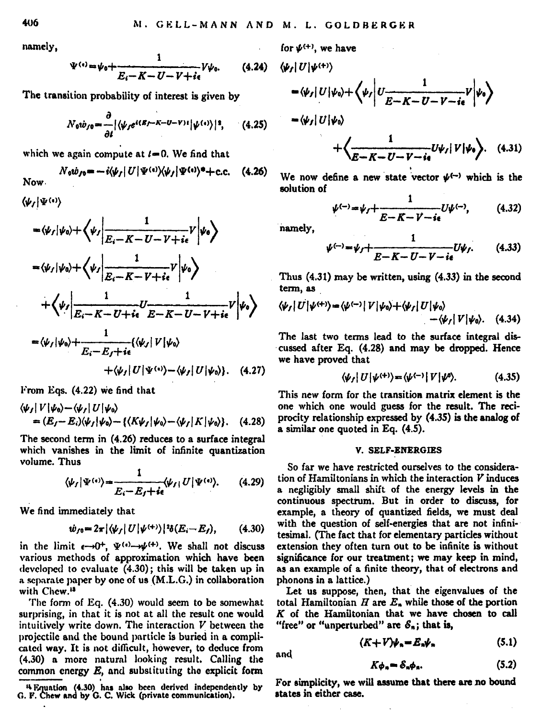namely,

$$
\Psi^{(i)} = \psi_0 + \frac{1}{E_i - K - U - V + i\epsilon} V \psi_0.
$$
 (4.24)

The transition probability of interest is given by

$$
N_0w_{f0} = \frac{\partial}{\partial t} |\langle \psi_f e^{i(R_f - K - U - V)t} | \psi^{(i)} \rangle|^2, \qquad (4.25)
$$

which we again compute at  $t=0$ . We find that

Now 
$$
N_0 \psi_{f0} = -i \langle \psi_f | U | \Psi^{(i)} \rangle \langle \psi_f | \Psi^{(i)} \rangle^* + \text{c.c.} \quad (4.26)
$$

 $\langle \psi_J|\Psi^{(n)}\rangle$ 

$$
\begin{split} &-\langle\psi_{I}|\psi_{0}\rangle+\left\langle\psi_{I}\left|\frac{1}{E_{i}-K-U-V+i\epsilon}V\left|\psi_{0}\right.\right\rangle\right.\\ &-\langle\psi_{I}|\psi_{0}\rangle+\left\langle\psi_{I}\left|\frac{1}{E_{i}-K-V+i\epsilon}V\left|\psi_{0}\right.\right\rangle\right.\\ &+\left\langle\psi_{I}\left|\frac{1}{E_{i}-K-U+i\epsilon}U-E-K-U-V+i\epsilon}V\left|\psi_{0}\right.\right\rangle\right.\\ &-\langle\psi_{I}|\psi_{0}\rangle+\frac{1}{E_{i}-E_{f}+i\epsilon}\langle\psi_{I}|\,V\left|\psi_{0}\right\rangle\right.\\ &\left.+\langle\psi_{I}|\,U\left|\Psi^{(s)}\right\rangle-\langle\psi_{I}|\,U\left|\psi_{0}\right\rangle\right).\quad(4.27) \end{split}
$$

From Eqs. {4.22) We find that

$$
\langle \psi_f | V | \psi_0 \rangle - \langle \psi_f | U | \psi_0 \rangle
$$
  
=  $(E_f - E_i) \langle \psi_f | \psi_0 \rangle - \{ \langle K \psi_f | \psi_0 \rangle - \langle \psi_f | K | \psi_0 \rangle \}.$  (4.28)

The second term in (4.26) reduces to a surface integral which vanishes in the limit of infinite quantization volume. Thus

$$
\langle \psi_f | \Psi^{(i)} \rangle = \frac{1}{E_i - E_f + i\epsilon} \langle \psi_f | U | \Psi^{(i)} \rangle. \tag{4.29}
$$

We find immediately that

$$
\dot{w}_{f0} = 2\pi |\langle \psi_f | U | \psi^{(+)} \rangle|^{2} \delta(E_i - E_f), \qquad (4.30)
$$

in the limit  $\epsilon \rightarrow 0^+, \Psi^{(\epsilon)} \rightarrow \psi^{(+)}$ . We shall not discuss various methods of approximation which have been developed to evaluate (4.30); this will be taken up in a separate paper by one of us (M.L.G.) in collaboration with Chew.<sup>13</sup>

The form of Eq. (4.30) would seem to be somewhat surprising, in that it is not at all the result one would intuitively write down. The interaction *V* between the projectile and the bound particle is buried in a compli~ catcd way. It is not difficult, however, to deduce from (4.30) a more natural looking result, Calling the common energy  $E$ , and substituting the explicit form

for 
$$
\psi^{(+)}
$$
, we have  
\n
$$
\langle \psi_I | U | \psi^{(+)} \rangle
$$
\n
$$
- \langle \psi_I | U | \psi_0 \rangle + \langle \psi_I | U_{\overline{E-K-U-V-i\epsilon}} V | \psi_0 \rangle
$$
\n
$$
- \langle \psi_I | U | \psi_0 \rangle
$$

$$
+\left\langle \frac{1}{E-K-U-V-i\epsilon}U\psi_I|V|\psi_0\right\rangle. \quad (4.31)
$$

We now define a new state vector  $\psi^{(-)}$  which is the solution of

$$
\psi^{(-)} = \psi_f + \frac{1}{E - K - V - i\epsilon} U \psi^{(-)}, \qquad (4.32)
$$

namely,

and

$$
\psi^{(-)} = \psi_f + \frac{1}{E - K - U - V - i\epsilon} U \psi_f.
$$
 (4.33)

Thus (4.31) may be written, using (4.33) in the second tenn, as

$$
\langle \psi_I | U | \psi^{(+)} \rangle = \langle \psi^{(-)} | V | \psi_0 \rangle + \langle \psi_I | U | \psi_0 \rangle - \langle \psi_I | V | \psi_0 \rangle. \quad (4.34)
$$

The last two terms lead to the surface integral discussed after Eq. (4.28) and may be dropped. Hence we have proved that

$$
\langle \psi_f | U | \psi^{(+)} \rangle = \langle \psi^{(-)} | V | \psi^{0} \rangle. \tag{4.35}
$$

This new form for the transition matrix element is the one which one would guess for the result. The reciprocity relationship expressed by (4.35) is the analog of a similar one quoted in Eq. (4.5).

#### V. SELF-ENERGIES

So far we have restricted ourselves to the considera tion of Hamiltonians in which the interaction *V* induces a negligibly small shift of the energy levels in the continuous spectrum. But in order to discuss, for example, a theory of quantized fields, we must deal with the question of self-energies that are not infinitesimal. (The fact that for elementary particles without extension they often turn out to be infinite is without significance for our treatment; we may keep in mind, as an example of a finite theory, that of electrons and phonons in a lattice.)

Let us suppose, then, that the eigenvalues of the total Hamiltonian Hare *E,.* while those of the portion K of the Hamiltonian that we have chosen to call "free" or "unperturbed" are  $S_n$ ; that is,

$$
(K+V)\psi_n = E_n\psi_n \tag{5.1}
$$

$$
K\phi_n = \mathcal{S}_n\phi_n. \tag{5.2}
$$

For aimplicity, we will assume that there arc no bound atatea in either case.

<sup>&</sup>lt;sup>4</sup> Equation (4.30) has also been derived independently by G. F. Chew and by G. C. Wick (private communication).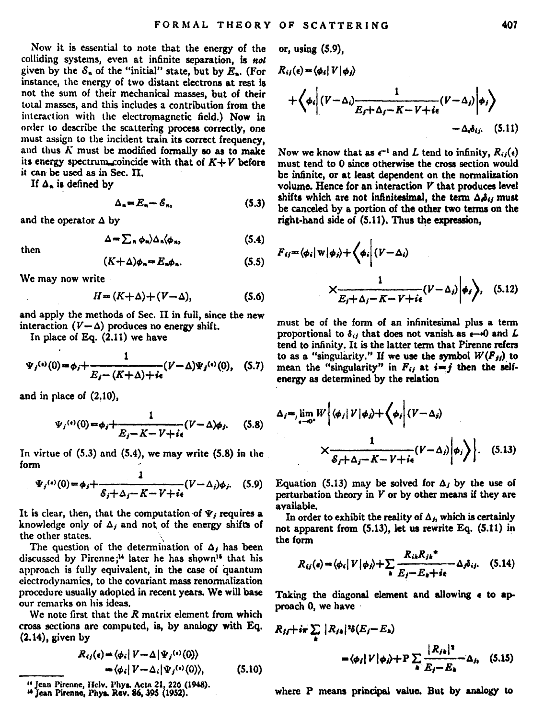Now it is essential to note that the energy of the colliding systems, even at infinite separation, is not given by the  $S_n$  of the "initial" state, but by  $E_n$ . (For instance, the energy of two distant electrons at rest is not the sum of their mechanical masses, but of their total masses, and this includes a contribution from the interaction with the electromagnetic field.) Now in order to describe the scattering process correctly, one must assign to the incident train its correct frequency, and thus  $K$  must be modified formally so as to make its energy spectrum...coincide with that of  $K + V$  before it can be used as in Sec. II.<br>If  $\Delta$ , is defined by

$$
\Delta_n = E_n - \mathcal{E}_n, \tag{5.3}
$$

and the operator  $\Delta$  by

$$
\Delta = \sum_{\mathbf{a}} \phi_{\mathbf{a}} \rangle \Delta_{\mathbf{a}} \langle \phi_{\mathbf{a}} \rangle, \tag{5.4}
$$

$$
(K+\Delta)\phi_n = E_n \phi_n. \tag{5.5}
$$

We may now write

$$
H = (K + \Delta) + (V - \Delta), \tag{5.6}
$$

and apply the methods of Sec. II in full, since the new interaction  $(V-\Delta)$  produces no energy shift.

In place of Eq. (2.11) we have

$$
\Psi_j^{(s)}(0) = \phi_j + \frac{1}{E_j - (K+\Delta) + i\epsilon} (V - \Delta) \Psi_j^{(s)}(0), \quad (5.7)
$$

and in place of (2,10),

$$
\Psi_i^{(4)}(0) = \phi_i + \frac{1}{E_i - K - V + i\epsilon} (V - \Delta)\phi_i. \tag{5.8}
$$

In virtue of  $(5.3)$  and  $(5.4)$ , we may write  $(5.8)$  in the fonn '

$$
\Psi_j^{(i)}(0) = \phi_j + \frac{1}{\mathcal{E}_j + \Delta_j - K - V + i\epsilon} (V - \Delta_j)\phi_j. \quad (5.9)
$$

It is clear, then, that the computation of  $\Psi$ , requires a knowledge only of  $\Delta_i$  and not of the energy shifts of the other states.

The question of the determination of  $\Delta_i$  has been discussed by Pirenne;<sup>14</sup> later he has shown<sup>15</sup> that his approach is fully equivalent, in the case of Quantum electrodynamics, to the covariant mass renonnalization procedure usually adopted in recent years. We will base our remarks on his ideas,

We note first that the *R* matrix element from which cross sections are computed, is, by analogy with Eq. (2.14), given by

$$
R_{ij}(e) = \langle \phi_i | V - \Delta | \Psi_j^{(i)}(0) \rangle
$$
  
=  $\langle \phi_i | V - \Delta_i | \Psi_j^{(i)}(0) \rangle$ , (5.10)

or, usiag (5.9),

$$
R_{ij}(s) = \langle \phi_i | V | \phi_j \rangle
$$
  
+ 
$$
\langle \phi_i | (V - \Delta_i) \frac{1}{E_f + \Delta_j - K - V + i\epsilon} (V - \Delta_j) | \phi_i \rangle
$$
  
- 
$$
\Delta_i \phi_i. \quad (5.11)
$$

Now we know that as  $e^{-1}$  and L tend to infinity,  $R_{ij}(e)$ must tend to 0 since otherwise the cross section would be infinite, or at least dependent on the normalization volume. Hence for an interaction V that produces level shifts which are not infinitesimal, the term  $\Delta \phi_{ij}$  must be canceled by a portion of the other two terms on the  $right$ -hand side of  $(5.11)$ . Thus the expression.

$$
F_{ij} = \langle \phi_i | \mathbf{w} | \phi_i \rangle + \langle \phi_i | (V - \Delta_i)
$$

$$
\times \frac{1}{E_j + \Delta_j - K - V + i\epsilon} (V - \Delta_i) \phi_i \rangle, \quad (5.12)
$$

must be of the fonn of an infinitaimal plus a term proportional to  $\delta_{ij}$  that does not vanish as  $\epsilon \rightarrow 0$  and  $L$ tend to infinity. It is the latter term that Pirenne refers to as a "singularity." If we use the symbol  $W(F_{jj})$  to mean the "singularity" in  $F_{ij}$  at  $i=j$  then the selfenergy as determined by the relation

$$
\times \frac{1}{\epsilon_{\gamma} + \lambda_{\gamma} \omega_{\gamma}} W \Big\{ \langle \phi_{\gamma} | V | \phi_{\gamma} \rangle + \langle \phi_{\gamma} | (V - \Delta_{\gamma}) | \phi_{\gamma} \rangle \Big\}.
$$
 (5.13)

Equation (5.13) may be solved for  $\Delta_i$  by the use of perturbation theory in  $V$  or by other means if they are available.

In order to exhibit the reality of  $\Delta_f$ , which is certainly not apparent from  $(5.13)$ , let us rewrite Eq.  $(5.11)$  in the form

$$
R_{ij}(\epsilon) = \langle \phi_i | V | \phi_j \rangle + \sum_{k} \frac{R_{ik} R_{jk}^*}{E_j - E_k + i\epsilon} - \Delta_j \delta_{ij}.
$$
 (5.14)

Taking the diagonal element and allowing  $\epsilon$  to approach 0, we have

$$
R_{II} + i\pi \sum_{\alpha} |R_{I\alpha}|^2 \delta(E_I - E_{\alpha})
$$
  
=  $\langle \phi_I | V | \phi_I \rangle + P \sum_{\alpha} \frac{|R_{I\alpha}|^2}{E_I - E_{\alpha}} - \Delta_{I\alpha}$  (5.15)

where P means principal value. But by analogy to

<sup>&</sup>quot; Jean Pirenne, Helv. Phys. Acta 21, 226 (1948).<br>" Jean Pirenne, Phys. Rev. 86, 395 (1952).